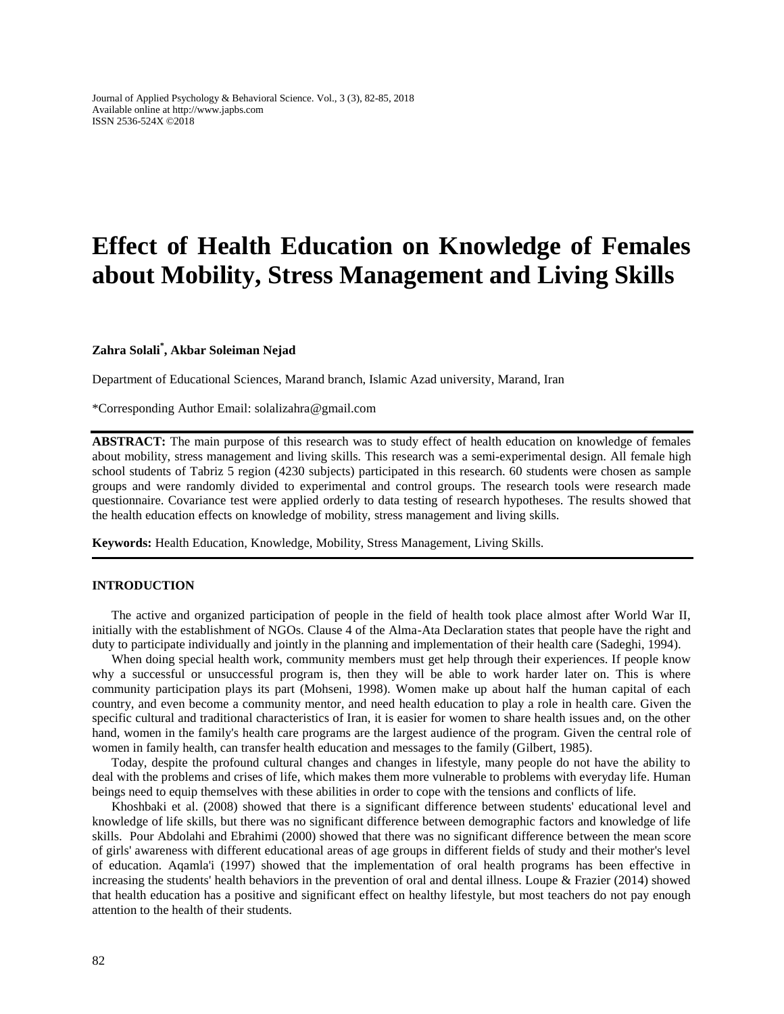# **Effect of Health Education on Knowledge of Females about Mobility, Stress Management and Living Skills**

# **Zahra Solali\* , Akbar Soleiman Nejad**

Department of Educational Sciences, Marand branch, Islamic Azad university, Marand, Iran

\*Corresponding Author Email: [solalizahra@gmail.com](mailto:solalizahra@gmail.com)

**ABSTRACT:** The main purpose of this research was to study effect of health education on knowledge of females about mobility, stress management and living skills. This research was a semi-experimental design. All female high school students of Tabriz 5 region (4230 subjects) participated in this research. 60 students were chosen as sample groups and were randomly divided to experimental and control groups. The research tools were research made questionnaire. Covariance test were applied orderly to data testing of research hypotheses. The results showed that the health education effects on knowledge of mobility, stress management and living skills.

**Keywords:** Health Education, Knowledge, Mobility, Stress Management, Living Skills.

## **INTRODUCTION**

 The active and organized participation of people in the field of health took place almost after World War II, initially with the establishment of NGOs. Clause 4 of the Alma-Ata Declaration states that people have the right and duty to participate individually and jointly in the planning and implementation of their health care (Sadeghi, 1994).

 When doing special health work, community members must get help through their experiences. If people know why a successful or unsuccessful program is, then they will be able to work harder later on. This is where community participation plays its part (Mohseni, 1998). Women make up about half the human capital of each country, and even become a community mentor, and need health education to play a role in health care. Given the specific cultural and traditional characteristics of Iran, it is easier for women to share health issues and, on the other hand, women in the family's health care programs are the largest audience of the program. Given the central role of women in family health, can transfer health education and messages to the family (Gilbert, 1985).

 Today, despite the profound cultural changes and changes in lifestyle, many people do not have the ability to deal with the problems and crises of life, which makes them more vulnerable to problems with everyday life. Human beings need to equip themselves with these abilities in order to cope with the tensions and conflicts of life.

 Khoshbaki et al. (2008) showed that there is a significant difference between students' educational level and knowledge of life skills, but there was no significant difference between demographic factors and knowledge of life skills. Pour Abdolahi and Ebrahimi (2000) showed that there was no significant difference between the mean score of girls' awareness with different educational areas of age groups in different fields of study and their mother's level of education. Aqamla'i (1997) showed that the implementation of oral health programs has been effective in increasing the students' health behaviors in the prevention of oral and dental illness. Loupe & Frazier (2014) showed that health education has a positive and significant effect on healthy lifestyle, but most teachers do not pay enough attention to the health of their students.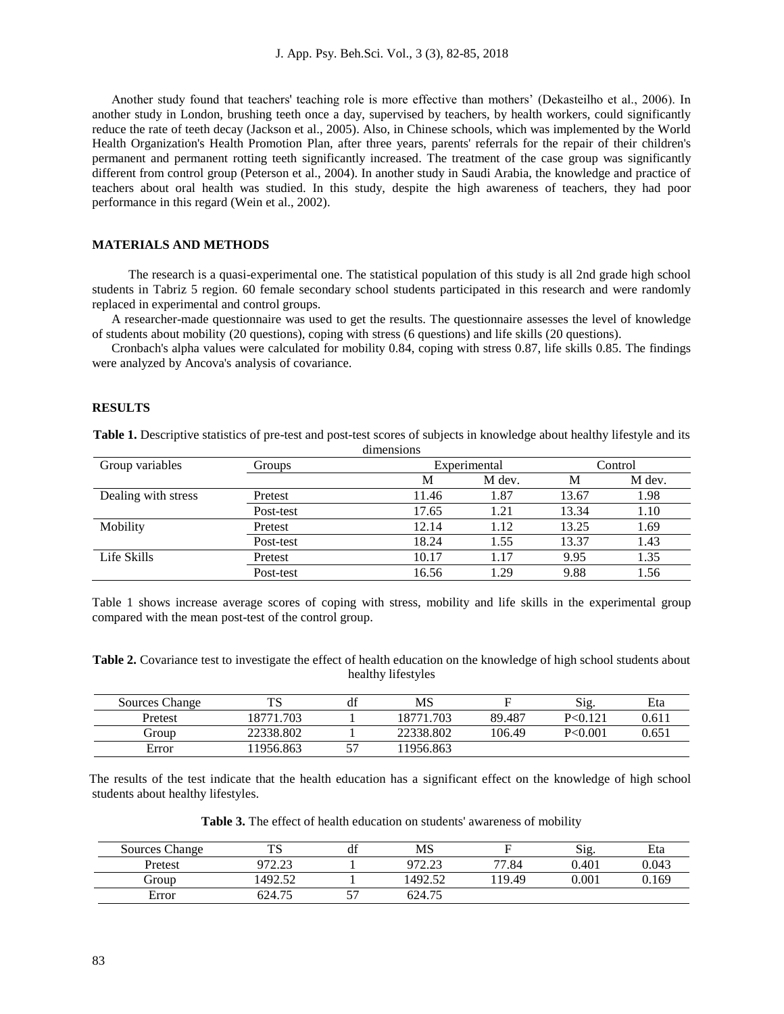Another study found that teachers' teaching role is more effective than mothers' (Dekasteilho et al., 2006). In another study in London, brushing teeth once a day, supervised by teachers, by health workers, could significantly reduce the rate of teeth decay (Jackson et al., 2005). Also, in Chinese schools, which was implemented by the World Health Organization's Health Promotion Plan, after three years, parents' referrals for the repair of their children's permanent and permanent rotting teeth significantly increased. The treatment of the case group was significantly different from control group (Peterson et al., 2004). In another study in Saudi Arabia, the knowledge and practice of teachers about oral health was studied. In this study, despite the high awareness of teachers, they had poor performance in this regard (Wein et al., 2002).

## **MATERIALS AND METHODS**

The research is a quasi-experimental one. The statistical population of this study is all 2nd grade high school students in Tabriz 5 region. 60 female secondary school students participated in this research and were randomly replaced in experimental and control groups.

 A researcher-made questionnaire was used to get the results. The questionnaire assesses the level of knowledge of students about mobility (20 questions), coping with stress (6 questions) and life skills (20 questions).

Cronbach's alpha values were calculated for mobility 0.84, coping with stress 0.87, life skills 0.85. The findings were analyzed by Ancova's analysis of covariance.

#### **RESULTS**

| Table 1. Descriptive statistics of pre-test and post-test scores of subjects in knowledge about healthy lifestyle and its |  |
|---------------------------------------------------------------------------------------------------------------------------|--|
| dimensions                                                                                                                |  |

| Group variables     | Groups    |       | Experimental |       | Control |
|---------------------|-----------|-------|--------------|-------|---------|
|                     |           | М     | M dev.       | м     | M dev.  |
| Dealing with stress | Pretest   | 11.46 | 1.87         | 13.67 | 1.98    |
|                     | Post-test | 17.65 | 1.21         | 13.34 | 1.10    |
| <b>Mobility</b>     | Pretest   | 12.14 | 1.12         | 13.25 | 1.69    |
|                     | Post-test | 18.24 | 1.55         | 13.37 | 1.43    |
| Life Skills         | Pretest   | 10.17 | 1.17         | 9.95  | 1.35    |
|                     | Post-test | 16.56 | 1.29         | 9.88  | 1.56    |

Table 1 shows increase average scores of coping with stress, mobility and life skills in the experimental group compared with the mean post-test of the control group.

**Table 2.** Covariance test to investigate the effect of health education on the knowledge of high school students about healthy lifestyles

| Sources Change | <b>TDC</b><br>. <i>. .</i> | df | MS        |        | Sig.      | Eta   |
|----------------|----------------------------|----|-----------|--------|-----------|-------|
| Pretest        | .703<br>18771              |    | 18771.703 | 89.487 | P < 0.121 | 0.611 |
| Group          | 22338.802                  |    | 22338.802 | 106.49 | P < 0.001 | 0.651 |
| Error          | 11956.863                  | ◡  | 11956.863 |        |           |       |

The results of the test indicate that the health education has a significant effect on the knowledge of high school students about healthy lifestyles.

Table 3. The effect of health education on students' awareness of mobility

| Sources Change | m c<br>⊥ ⊌         | df      | MS                           |       | Sig.  | Eta   |
|----------------|--------------------|---------|------------------------------|-------|-------|-------|
| Pretest        | 072<br>$\cap$<br>. |         | 072<br>$\bigcap$<br>ل کے ویک | 77.84 | 0.401 | 0.043 |
| droup          | 492.52             |         | 492<br>-50                   | 19.49 | 0.001 | J.169 |
| Error          | 624.75             | --<br>◡ | 624.75                       |       |       |       |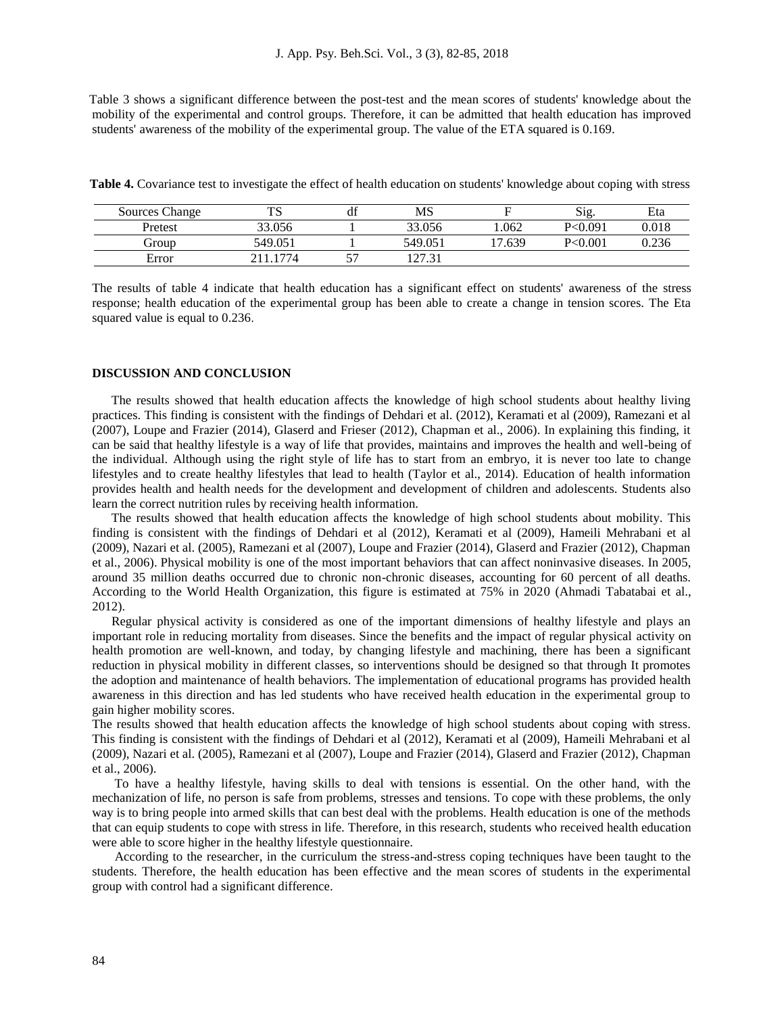Table 3 shows a significant difference between the post-test and the mean scores of students' knowledge about the mobility of the experimental and control groups. Therefore, it can be admitted that health education has improved students' awareness of the mobility of the experimental group. The value of the ETA squared is 0.169.

|  |  |  |  |  |  | Table 4. Covariance test to investigate the effect of health education on students' knowledge about coping with stress |  |  |
|--|--|--|--|--|--|------------------------------------------------------------------------------------------------------------------------|--|--|
|--|--|--|--|--|--|------------------------------------------------------------------------------------------------------------------------|--|--|

| Sources Change | $\mathbf{m}\alpha$<br>⊥ ⊾ | df      | MS      |        | n.<br>S12. | Eta   |
|----------------|---------------------------|---------|---------|--------|------------|-------|
| Pretest        | 33.056                    |         | 33.056  | .062   | P < 0.091  | 0.018 |
| Group          | 549.051                   |         | 549.051 | 17.639 | P < 0.001  | 0.236 |
| Error          | 1774                      | --<br>◡ | 127.31  |        |            |       |

The results of table 4 indicate that health education has a significant effect on students' awareness of the stress response; health education of the experimental group has been able to create a change in tension scores. The Eta squared value is equal to 0.236.

## **DISCUSSION AND CONCLUSION**

 The results showed that health education affects the knowledge of high school students about healthy living practices. This finding is consistent with the findings of Dehdari et al. (2012), Keramati et al (2009), Ramezani et al (2007), Loupe and Frazier (2014), Glaserd and Frieser (2012), Chapman et al., 2006). In explaining this finding, it can be said that healthy lifestyle is a way of life that provides, maintains and improves the health and well-being of the individual. Although using the right style of life has to start from an embryo, it is never too late to change lifestyles and to create healthy lifestyles that lead to health (Taylor et al., 2014). Education of health information provides health and health needs for the development and development of children and adolescents. Students also learn the correct nutrition rules by receiving health information.

 The results showed that health education affects the knowledge of high school students about mobility. This finding is consistent with the findings of Dehdari et al (2012), Keramati et al (2009), Hameili Mehrabani et al (2009), Nazari et al. (2005), Ramezani et al (2007), Loupe and Frazier (2014), Glaserd and Frazier (2012), Chapman et al., 2006). Physical mobility is one of the most important behaviors that can affect noninvasive diseases. In 2005, around 35 million deaths occurred due to chronic non-chronic diseases, accounting for 60 percent of all deaths. According to the World Health Organization, this figure is estimated at 75% in 2020 (Ahmadi Tabatabai et al., 2012).

 Regular physical activity is considered as one of the important dimensions of healthy lifestyle and plays an important role in reducing mortality from diseases. Since the benefits and the impact of regular physical activity on health promotion are well-known, and today, by changing lifestyle and machining, there has been a significant reduction in physical mobility in different classes, so interventions should be designed so that through It promotes the adoption and maintenance of health behaviors. The implementation of educational programs has provided health awareness in this direction and has led students who have received health education in the experimental group to gain higher mobility scores.

The results showed that health education affects the knowledge of high school students about coping with stress. This finding is consistent with the findings of Dehdari et al (2012), Keramati et al (2009), Hameili Mehrabani et al (2009), Nazari et al. (2005), Ramezani et al (2007), Loupe and Frazier (2014), Glaserd and Frazier (2012), Chapman et al., 2006).

 To have a healthy lifestyle, having skills to deal with tensions is essential. On the other hand, with the mechanization of life, no person is safe from problems, stresses and tensions. To cope with these problems, the only way is to bring people into armed skills that can best deal with the problems. Health education is one of the methods that can equip students to cope with stress in life. Therefore, in this research, students who received health education were able to score higher in the healthy lifestyle questionnaire.

 According to the researcher, in the curriculum the stress-and-stress coping techniques have been taught to the students. Therefore, the health education has been effective and the mean scores of students in the experimental group with control had a significant difference.